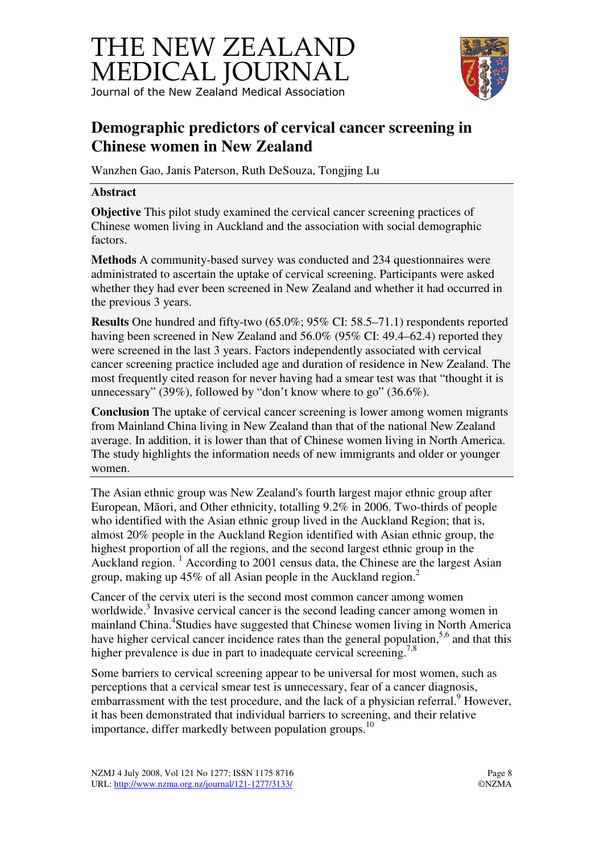# THE NEW ZEALAND MEDICAL JOURNAL Journal of the New Zealand Medical Association



## **Demographic predictors of cervical cancer screening in Chinese women in New Zealand**

Wanzhen Gao, Janis Paterson, Ruth DeSouza, Tongjing Lu

#### **Abstract**

**Objective** This pilot study examined the cervical cancer screening practices of Chinese women living in Auckland and the association with social demographic factors.

**Methods** A community-based survey was conducted and 234 questionnaires were administrated to ascertain the uptake of cervical screening. Participants were asked whether they had ever been screened in New Zealand and whether it had occurred in the previous 3 years.

**Results** One hundred and fifty-two (65.0%; 95% CI: 58.5–71.1) respondents reported having been screened in New Zealand and 56.0% (95% CI: 49.4–62.4) reported they were screened in the last 3 years. Factors independently associated with cervical cancer screening practice included age and duration of residence in New Zealand. The most frequently cited reason for never having had a smear test was that "thought it is unnecessary" (39%), followed by "don't know where to go" (36.6%).

**Conclusion** The uptake of cervical cancer screening is lower among women migrants from Mainland China living in New Zealand than that of the national New Zealand average. In addition, it is lower than that of Chinese women living in North America. The study highlights the information needs of new immigrants and older or younger women.

The Asian ethnic group was New Zealand's fourth largest major ethnic group after European, Māori, and Other ethnicity, totalling 9.2% in 2006. Two-thirds of people who identified with the Asian ethnic group lived in the Auckland Region; that is, almost 20% people in the Auckland Region identified with Asian ethnic group, the highest proportion of all the regions, and the second largest ethnic group in the Auckland region.<sup>1</sup> According to 2001 census data, the Chinese are the largest Asian group, making up 45% of all Asian people in the Auckland region.<sup>2</sup>

Cancer of the cervix uteri is the second most common cancer among women worldwide.<sup>3</sup> Invasive cervical cancer is the second leading cancer among women in mainland China.<sup>4</sup>Studies have suggested that Chinese women living in North America have higher cervical cancer incidence rates than the general population,  $5,6$  and that this higher prevalence is due in part to inadequate cervical screening.<sup>7,8</sup>

Some barriers to cervical screening appear to be universal for most women, such as perceptions that a cervical smear test is unnecessary, fear of a cancer diagnosis, embarrassment with the test procedure, and the lack of a physician referral.<sup>9</sup> However, it has been demonstrated that individual barriers to screening, and their relative importance, differ markedly between population groups.<sup>10</sup>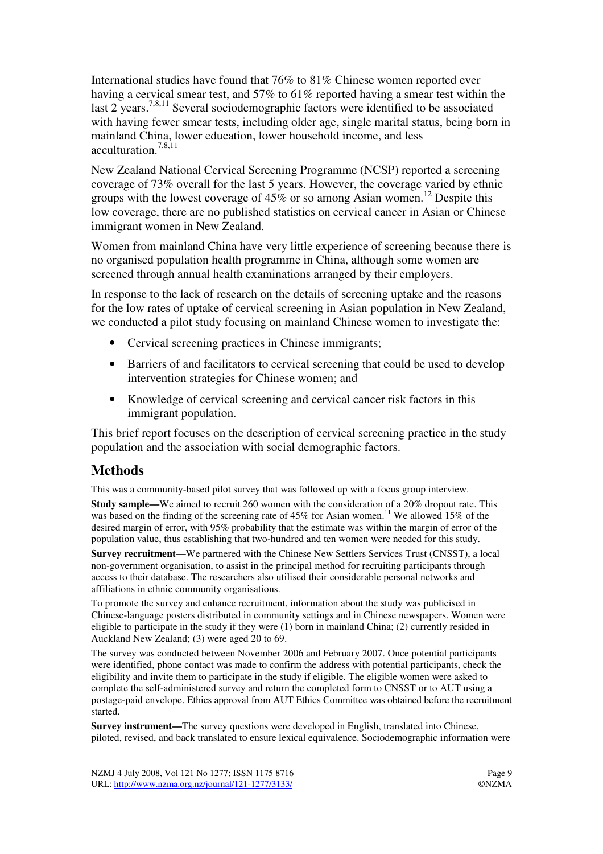International studies have found that 76% to 81% Chinese women reported ever having a cervical smear test, and 57% to 61% reported having a smear test within the last 2 years.<sup>7,8,11</sup> Several sociodemographic factors were identified to be associated with having fewer smear tests, including older age, single marital status, being born in mainland China, lower education, lower household income, and less acculturation.7,8,11

New Zealand National Cervical Screening Programme (NCSP) reported a screening coverage of 73% overall for the last 5 years. However, the coverage varied by ethnic groups with the lowest coverage of  $45\%$  or so among Asian women.<sup>12</sup> Despite this low coverage, there are no published statistics on cervical cancer in Asian or Chinese immigrant women in New Zealand.

Women from mainland China have very little experience of screening because there is no organised population health programme in China, although some women are screened through annual health examinations arranged by their employers.

In response to the lack of research on the details of screening uptake and the reasons for the low rates of uptake of cervical screening in Asian population in New Zealand, we conducted a pilot study focusing on mainland Chinese women to investigate the:

- Cervical screening practices in Chinese immigrants;
- Barriers of and facilitators to cervical screening that could be used to develop intervention strategies for Chinese women; and
- Knowledge of cervical screening and cervical cancer risk factors in this immigrant population.

This brief report focuses on the description of cervical screening practice in the study population and the association with social demographic factors.

#### **Methods**

This was a community-based pilot survey that was followed up with a focus group interview.

**Study sample—We aimed to recruit 260 women with the consideration of a 20% dropout rate. This** was based on the finding of the screening rate of  $45\%$  for Asian women.<sup>11</sup> We allowed  $15\%$  of the desired margin of error, with 95% probability that the estimate was within the margin of error of the population value, thus establishing that two-hundred and ten women were needed for this study.

**Survey recruitment—**We partnered with the Chinese New Settlers Services Trust (CNSST), a local non-government organisation, to assist in the principal method for recruiting participants through access to their database. The researchers also utilised their considerable personal networks and affiliations in ethnic community organisations.

To promote the survey and enhance recruitment, information about the study was publicised in Chinese-language posters distributed in community settings and in Chinese newspapers. Women were eligible to participate in the study if they were (1) born in mainland China; (2) currently resided in Auckland New Zealand; (3) were aged 20 to 69.

The survey was conducted between November 2006 and February 2007. Once potential participants were identified, phone contact was made to confirm the address with potential participants, check the eligibility and invite them to participate in the study if eligible. The eligible women were asked to complete the self-administered survey and return the completed form to CNSST or to AUT using a postage-paid envelope. Ethics approval from AUT Ethics Committee was obtained before the recruitment started.

**Survey instrument—**The survey questions were developed in English, translated into Chinese, piloted, revised, and back translated to ensure lexical equivalence. Sociodemographic information were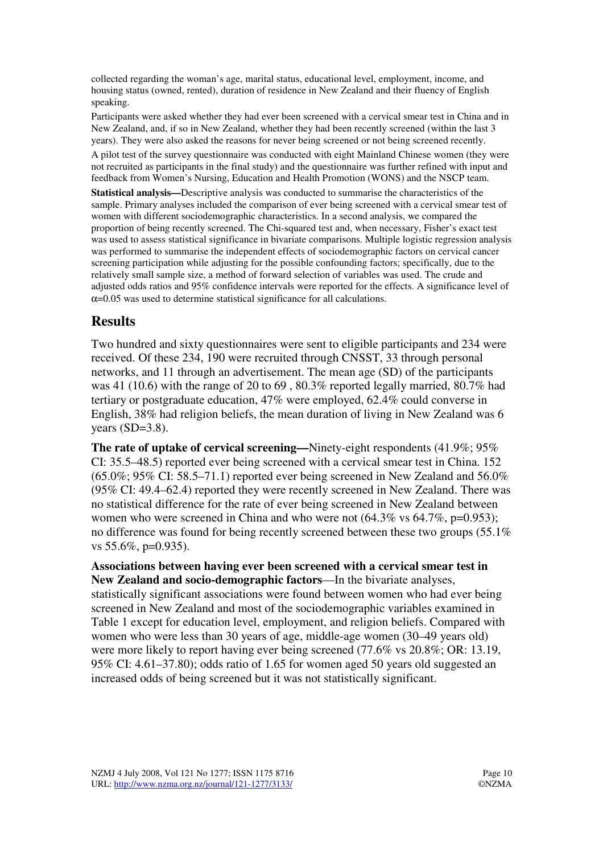collected regarding the woman's age, marital status, educational level, employment, income, and housing status (owned, rented), duration of residence in New Zealand and their fluency of English speaking.

Participants were asked whether they had ever been screened with a cervical smear test in China and in New Zealand, and, if so in New Zealand, whether they had been recently screened (within the last 3 years). They were also asked the reasons for never being screened or not being screened recently.

A pilot test of the survey questionnaire was conducted with eight Mainland Chinese women (they were not recruited as participants in the final study) and the questionnaire was further refined with input and feedback from Women's Nursing, Education and Health Promotion (WONS) and the NSCP team.

**Statistical analysis—**Descriptive analysis was conducted to summarise the characteristics of the sample. Primary analyses included the comparison of ever being screened with a cervical smear test of women with different sociodemographic characteristics. In a second analysis, we compared the proportion of being recently screened. The Chi-squared test and, when necessary, Fisher's exact test was used to assess statistical significance in bivariate comparisons. Multiple logistic regression analysis was performed to summarise the independent effects of sociodemographic factors on cervical cancer screening participation while adjusting for the possible confounding factors; specifically, due to the relatively small sample size, a method of forward selection of variables was used. The crude and adjusted odds ratios and 95% confidence intervals were reported for the effects. A significance level of  $\alpha$ =0.05 was used to determine statistical significance for all calculations.

### **Results**

Two hundred and sixty questionnaires were sent to eligible participants and 234 were received. Of these 234, 190 were recruited through CNSST, 33 through personal networks, and 11 through an advertisement. The mean age (SD) of the participants was 41 (10.6) with the range of 20 to 69 , 80.3% reported legally married, 80.7% had tertiary or postgraduate education, 47% were employed, 62.4% could converse in English, 38% had religion beliefs, the mean duration of living in New Zealand was 6 years  $(SD=3.8)$ .

**The rate of uptake of cervical screening—**Ninety-eight respondents (41.9%; 95% CI: 35.5–48.5) reported ever being screened with a cervical smear test in China. 152  $(65.0\%; 95\% \text{ CI: } 58.5-71.1)$  reported ever being screened in New Zealand and 56.0% (95% CI: 49.4–62.4) reported they were recently screened in New Zealand. There was no statistical difference for the rate of ever being screened in New Zealand between women who were screened in China and who were not  $(64.3\% \text{ vs } 64.7\% \text{, } p=0.953)$ ; no difference was found for being recently screened between these two groups (55.1% vs 55.6%, p=0.935).

**Associations between having ever been screened with a cervical smear test in New Zealand and socio-demographic factors**—In the bivariate analyses, statistically significant associations were found between women who had ever being screened in New Zealand and most of the sociodemographic variables examined in Table 1 except for education level, employment, and religion beliefs. Compared with women who were less than 30 years of age, middle-age women (30–49 years old) were more likely to report having ever being screened (77.6% vs 20.8%; OR: 13.19, 95% CI: 4.61–37.80); odds ratio of 1.65 for women aged 50 years old suggested an increased odds of being screened but it was not statistically significant.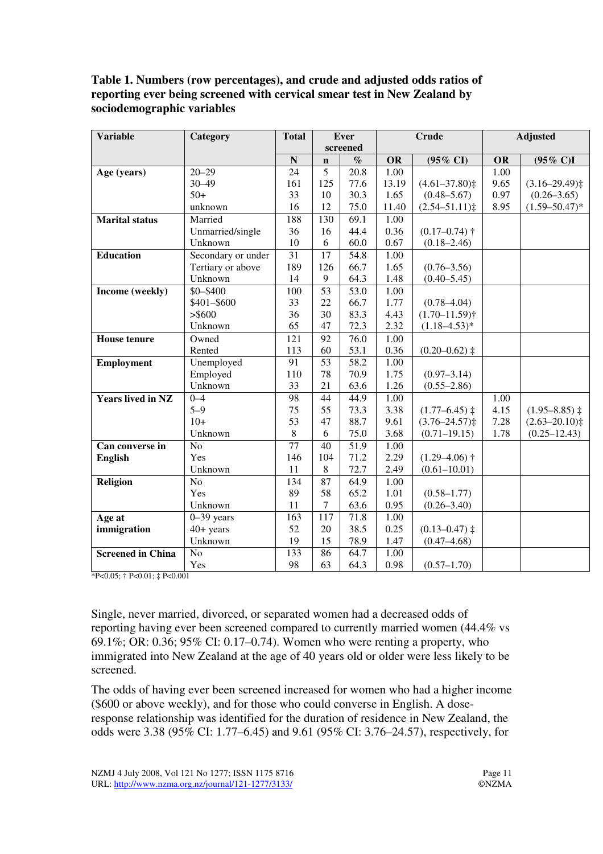#### **Table 1. Numbers (row percentages), and crude and adjusted odds ratios of reporting ever being screened with cervical smear test in New Zealand by sociodemographic variables**

| <b>Variable</b>          | Category           | <b>Total</b>    |                 | <b>Ever</b>       | <b>Crude</b>      |                     | <b>Adjusted</b> |                      |
|--------------------------|--------------------|-----------------|-----------------|-------------------|-------------------|---------------------|-----------------|----------------------|
|                          |                    |                 |                 | screened          |                   |                     |                 |                      |
|                          |                    | N               | $\mathbf n$     | $\%$              | <b>OR</b>         | $(95\% \text{ CI})$ | <b>OR</b>       | $(95\% \text{ C})$ I |
| Age (years)              | $20 - 29$          | 24              | 5               | 20.8              | 1.00              |                     | 1.00            |                      |
|                          | $30 - 49$          | 161             | 125             | 77.6              | 13.19             | $(4.61 - 37.80)$    | 9.65            | $(3.16 - 29.49)$     |
|                          | $50+$              | 33              | 10              | 30.3              | 1.65              | $(0.48 - 5.67)$     | 0.97            | $(0.26 - 3.65)$      |
|                          | unknown            | 16              | 12              | 75.0              | 11.40             | $(2.54 - 51.11)$    | 8.95            | $(1.59 - 50.47)^*$   |
| <b>Marital status</b>    | Married            | 188             | 130             | 69.1              | $\overline{1.00}$ |                     |                 |                      |
|                          | Unmarried/single   | 36              | 16              | 44.4              | 0.36              | $(0.17 - 0.74)$ †   |                 |                      |
|                          | Unknown            | 10              | 6               | 60.0              | 0.67              | $(0.18 - 2.46)$     |                 |                      |
| <b>Education</b>         | Secondary or under | 31              | 17              | 54.8              | 1.00              |                     |                 |                      |
|                          | Tertiary or above  | 189             | 126             | 66.7              | 1.65              | $(0.76 - 3.56)$     |                 |                      |
|                          | Unknown            | 14              | 9               | 64.3              | 1.48              | $(0.40 - 5.45)$     |                 |                      |
| Income (weekly)          | \$0-\$400          | 100             | $\overline{53}$ | 53.0              | 1.00              |                     |                 |                      |
|                          | \$401-\$600        | 33              | 22              | 66.7              | 1.77              | $(0.78 - 4.04)$     |                 |                      |
|                          | > \$600            | 36              | 30              | 83.3              | 4.43              | $(1.70 - 11.59)$ †  |                 |                      |
|                          | Unknown            | 65              | 47              | 72.3              | 2.32              | $(1.18 - 4.53)^*$   |                 |                      |
| <b>House tenure</b>      | Owned              | 121             | 92              | 76.0              | 1.00              |                     |                 |                      |
|                          | Rented             | 113             | 60              | 53.1              | 0.36              | $(0.20 - 0.62)$ ‡   |                 |                      |
| <b>Employment</b>        | Unemployed         | 91              | $\overline{53}$ | $\overline{58.2}$ | 1.00              |                     |                 |                      |
|                          | Employed           | 110             | 78              | 70.9              | 1.75              | $(0.97 - 3.14)$     |                 |                      |
|                          | Unknown            | 33              | 21              | 63.6              | 1.26              | $(0.55 - 2.86)$     |                 |                      |
| <b>Years lived in NZ</b> | $0 - 4$            | 98              | 44              | 44.9              | 1.00              |                     | 1.00            |                      |
|                          | $5 - 9$            | 75              | 55              | 73.3              | 3.38              | $(1.77 - 6.45)$ ‡   | 4.15            | $(1.95 - 8.85)$ ‡    |
|                          | $10+$              | 53              | 47              | 88.7              | 9.61              | $(3.76 - 24.57)$    | 7.28            | $(2.63 - 20.10)$     |
|                          | Unknown            | 8               | 6               | 75.0              | 3.68              | $(0.71 - 19.15)$    | 1.78            | $(0.25 - 12.43)$     |
| Can converse in          | N <sub>o</sub>     | $\overline{77}$ | 40              | 51.9              | 1.00              |                     |                 |                      |
| <b>English</b>           | Yes                | 146             | 104             | 71.2              | 2.29              | $(1.29 - 4.06)$ †   |                 |                      |
|                          | Unknown            | 11              | 8               | 72.7              | 2.49              | $(0.61 - 10.01)$    |                 |                      |
| <b>Religion</b>          | N <sub>o</sub>     | 134             | 87              | 64.9              | 1.00              |                     |                 |                      |
|                          | Yes                | 89              | 58              | 65.2              | 1.01              | $(0.58 - 1.77)$     |                 |                      |
|                          | Unknown            | 11              | 7               | 63.6              | 0.95              | $(0.26 - 3.40)$     |                 |                      |
| Age at                   | $0-39$ years       | 163             | 117             | 71.8              | 1.00              |                     |                 |                      |
| immigration              | $40+$ years        | 52              | 20              | 38.5              | 0.25              | $(0.13 - 0.47)$ ‡   |                 |                      |
|                          | Unknown            | 19              | 15              | 78.9              | 1.47              | $(0.47 - 4.68)$     |                 |                      |
| <b>Screened in China</b> | N <sub>o</sub>     | 133             | 86              | 64.7              | 1.00              |                     |                 |                      |
|                          | Yes                | 98              | 63              | 64.3              | 0.98              | $(0.57 - 1.70)$     |                 |                      |

\*P<0.05; † P<0.01; ‡ P<0.001

Single, never married, divorced, or separated women had a decreased odds of reporting having ever been screened compared to currently married women (44.4% vs 69.1%; OR: 0.36; 95% CI: 0.17–0.74). Women who were renting a property, who immigrated into New Zealand at the age of 40 years old or older were less likely to be screened.

The odds of having ever been screened increased for women who had a higher income (\$600 or above weekly), and for those who could converse in English. A doseresponse relationship was identified for the duration of residence in New Zealand, the odds were 3.38 (95% CI: 1.77–6.45) and 9.61 (95% CI: 3.76–24.57), respectively, for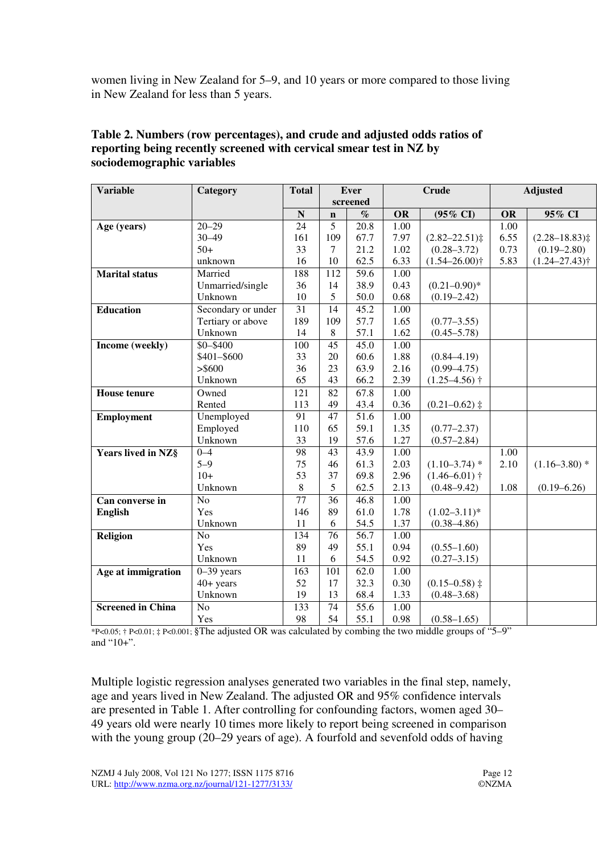women living in New Zealand for 5–9, and 10 years or more compared to those living in New Zealand for less than 5 years.

| <b>Variable</b>          | Category           | <b>Total</b>     |                 | <b>Ever</b>       | <b>Crude</b> |                               | <b>Adjusted</b> |                               |
|--------------------------|--------------------|------------------|-----------------|-------------------|--------------|-------------------------------|-----------------|-------------------------------|
|                          |                    |                  |                 | screened          |              |                               |                 |                               |
|                          |                    | $\mathbf N$      | $\mathbf n$     | $\%$              | <b>OR</b>    | (95% CI)                      | <b>OR</b>       | 95% CI                        |
| Age (years)              | $20 - 29$          | 24               | 5               | $\overline{20.8}$ | 1.00         |                               | 1.00            |                               |
|                          | $30 - 49$          | 161              | 109             | 67.7              | 7.97         | $(2.82 - 22.51)$              | 6.55            | $(2.28 - 18.83)$              |
|                          | $50+$              | 33               | $\tau$          | 21.2              | 1.02         | $(0.28 - 3.72)$               | 0.73            | $(0.19 - 2.80)$               |
|                          | unknown            | 16               | 10              | 62.5              | 6.33         | $(1.54 - 26.00)$ <sup>+</sup> | 5.83            | $(1.24 - 27.43)$ <sup>†</sup> |
| <b>Marital</b> status    | Married            | 188              | 112             | 59.6              | 1.00         |                               |                 |                               |
|                          | Unmarried/single   | 36               | 14              | 38.9              | 0.43         | $(0.21 - 0.90)^*$             |                 |                               |
|                          | Unknown            | 10               | 5               | 50.0              | 0.68         | $(0.19 - 2.42)$               |                 |                               |
| <b>Education</b>         | Secondary or under | $\overline{31}$  | 14              | 45.2              | 1.00         |                               |                 |                               |
|                          | Tertiary or above  | 189              | 109             | 57.7              | 1.65         | $(0.77 - 3.55)$               |                 |                               |
|                          | Unknown            | 14               | 8               | 57.1              | 1.62         | $(0.45 - 5.78)$               |                 |                               |
| Income (weekly)          | $$0 - $400$        | 100              | 45              | 45.0              | 1.00         |                               |                 |                               |
|                          | \$401-\$600        | 33               | 20              | 60.6              | 1.88         | $(0.84 - 4.19)$               |                 |                               |
|                          | > \$600            | 36               | 23              | 63.9              | 2.16         | $(0.99 - 4.75)$               |                 |                               |
|                          | Unknown            | 65               | 43              | 66.2              | 2.39         | $(1.25 - 4.56)$ †             |                 |                               |
| <b>House tenure</b>      | Owned              | $\overline{121}$ | $\overline{82}$ | 67.8              | 1.00         |                               |                 |                               |
|                          | Rented             | 113              | 49              | 43.4              | 0.36         | $(0.21 - 0.62)$ ‡             |                 |                               |
| Employment               | Unemployed         | 91               | 47              | 51.6              | 1.00         |                               |                 |                               |
|                          | Employed           | 110              | 65              | 59.1              | 1.35         | $(0.77 - 2.37)$               |                 |                               |
|                          | Unknown            | 33               | 19              | 57.6              | 1.27         | $(0.57 - 2.84)$               |                 |                               |
| Years lived in NZ§       | $0 - 4$            | 98               | 43              | 43.9              | 1.00         |                               | 1.00            |                               |
|                          | $5 - 9$            | 75               | 46              | 61.3              | 2.03         | $(1.10-3.74)$ *               | 2.10            | $(1.16 - 3.80)$ *             |
|                          | $10+$              | 53               | 37              | 69.8              | 2.96         | $(1.46 - 6.01)$ †             |                 |                               |
|                          | Unknown            | 8                | 5               | 62.5              | 2.13         | $(0.48 - 9.42)$               | 1.08            | $(0.19 - 6.26)$               |
| Can converse in          | N <sub>o</sub>     | 77               | 36              | 46.8              | 1.00         |                               |                 |                               |
| <b>English</b>           | Yes                | 146              | 89              | 61.0              | 1.78         | $(1.02 - 3.11)^*$             |                 |                               |
|                          | Unknown            | 11               | 6               | 54.5              | 1.37         | $(0.38 - 4.86)$               |                 |                               |
| Religion                 | N <sub>o</sub>     | 134              | 76              | 56.7              | 1.00         |                               |                 |                               |
|                          | Yes                | 89               | 49              | 55.1              | 0.94         | $(0.55 - 1.60)$               |                 |                               |
|                          | Unknown            | 11               | 6               | 54.5              | 0.92         | $(0.27 - 3.15)$               |                 |                               |
| Age at immigration       | $0 - 39$ years     | 163              | 101             | 62.0              | 1.00         |                               |                 |                               |
|                          | $40+$ years        | 52               | 17              | 32.3              | 0.30         | $(0.15 - 0.58)$ ‡             |                 |                               |
|                          | Unknown            | 19               | 13              | 68.4              | 1.33         | $(0.48 - 3.68)$               |                 |                               |
| <b>Screened in China</b> | N <sub>o</sub>     | 133              | 74              | 55.6              | 1.00         |                               |                 |                               |
|                          | Yes                | 98               | 54              | 55.1              | 0.98         | $(0.58 - 1.65)$               |                 |                               |

#### **Table 2. Numbers (row percentages), and crude and adjusted odds ratios of reporting being recently screened with cervical smear test in NZ by sociodemographic variables**

\*P<0.05; † P<0.01; ‡ P<0.001; §The adjusted OR was calculated by combing the two middle groups of "5–9" and "10+".

Multiple logistic regression analyses generated two variables in the final step, namely, age and years lived in New Zealand. The adjusted OR and 95% confidence intervals are presented in Table 1. After controlling for confounding factors, women aged 30– 49 years old were nearly 10 times more likely to report being screened in comparison with the young group (20–29 years of age). A fourfold and sevenfold odds of having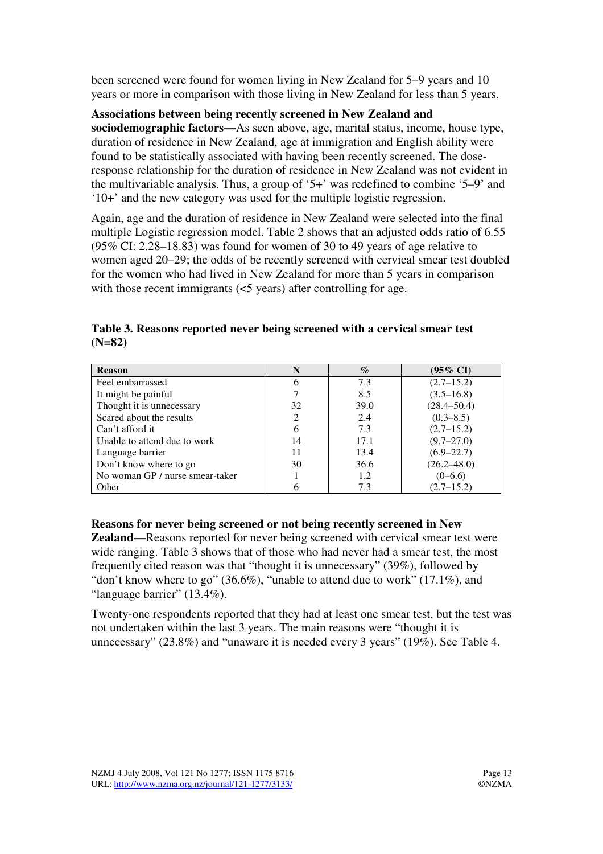been screened were found for women living in New Zealand for 5–9 years and 10 years or more in comparison with those living in New Zealand for less than 5 years.

#### **Associations between being recently screened in New Zealand and**

**sociodemographic factors—**As seen above, age, marital status, income, house type, duration of residence in New Zealand, age at immigration and English ability were found to be statistically associated with having been recently screened. The doseresponse relationship for the duration of residence in New Zealand was not evident in the multivariable analysis. Thus, a group of '5+' was redefined to combine '5–9' and '10+' and the new category was used for the multiple logistic regression.

Again, age and the duration of residence in New Zealand were selected into the final multiple Logistic regression model. Table 2 shows that an adjusted odds ratio of 6.55 (95% CI: 2.28–18.83) was found for women of 30 to 49 years of age relative to women aged 20–29; the odds of be recently screened with cervical smear test doubled for the women who had lived in New Zealand for more than 5 years in comparison with those recent immigrants ( $\leq$ 5 years) after controlling for age.

**Table 3. Reasons reported never being screened with a cervical smear test (N=82)** 

| <b>Reason</b>                   | N  | $\%$        | $(95\% \text{ CI})$ |  |
|---------------------------------|----|-------------|---------------------|--|
| Feel embarrassed                |    | 7.3         | $(2.7-15.2)$        |  |
| It might be painful             |    | 8.5         | $(3.5 - 16.8)$      |  |
| Thought it is unnecessary       | 32 | <b>39.0</b> | $(28.4 - 50.4)$     |  |
| Scared about the results        |    | 2.4         | $(0.3 - 8.5)$       |  |
| Can't afford it                 |    | 7.3         | $(2.7 - 15.2)$      |  |
| Unable to attend due to work    | 14 | 17.1        | $(9.7 - 27.0)$      |  |
| Language barrier                | 11 | 13.4        | $(6.9 - 22.7)$      |  |
| Don't know where to go          | 30 | 36.6        | $(26.2 - 48.0)$     |  |
| No woman GP / nurse smear-taker |    | 1.2         | $(0-6.6)$           |  |
| Other                           |    | 7.3         | $(2.7 - 15.2)$      |  |

#### **Reasons for never being screened or not being recently screened in New**

**Zealand—**Reasons reported for never being screened with cervical smear test were wide ranging. Table 3 shows that of those who had never had a smear test, the most frequently cited reason was that "thought it is unnecessary" (39%), followed by "don't know where to go" (36.6%), "unable to attend due to work" (17.1%), and "language barrier" (13.4%).

Twenty-one respondents reported that they had at least one smear test, but the test was not undertaken within the last 3 years. The main reasons were "thought it is unnecessary" (23.8%) and "unaware it is needed every 3 years" (19%). See Table 4.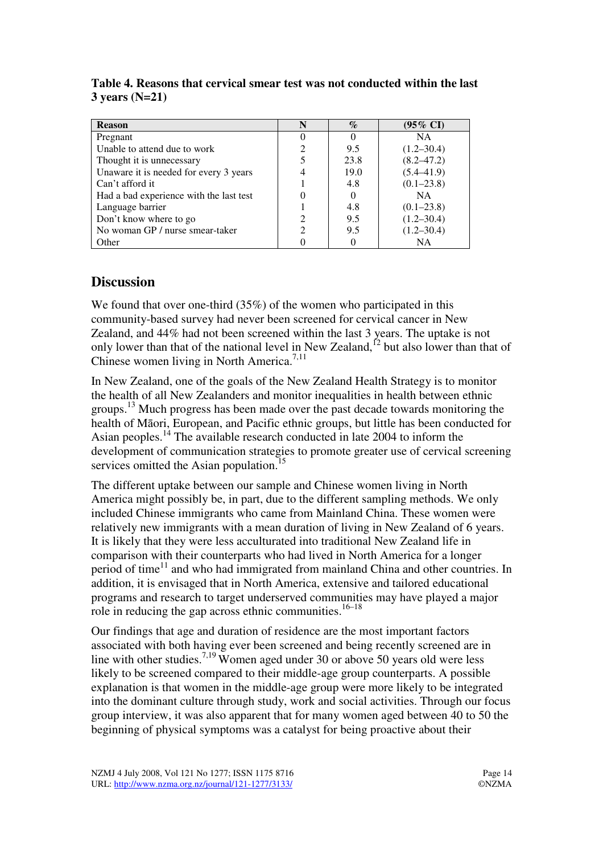| <b>Reason</b>                           | N                           | $\%$ | $(95\% \text{ CI})$ |
|-----------------------------------------|-----------------------------|------|---------------------|
| Pregnant                                |                             |      | <b>NA</b>           |
| Unable to attend due to work            |                             | 9.5  | $(1.2 - 30.4)$      |
| Thought it is unnecessary               |                             | 23.8 | $(8.2 - 47.2)$      |
| Unaware it is needed for every 3 years  |                             | 19.0 | $(5.4 - 41.9)$      |
| Can't afford it                         |                             | 4.8  | $(0.1 - 23.8)$      |
| Had a bad experience with the last test |                             |      | NA.                 |
| Language barrier                        |                             | 4.8  | $(0.1 - 23.8)$      |
| Don't know where to go                  |                             | 9.5  | $(1.2 - 30.4)$      |
| No woman GP / nurse smear-taker         | $\mathcal{D}_{\mathcal{L}}$ | 9.5  | $(1.2 - 30.4)$      |
| Other                                   |                             |      | NΑ                  |

**Table 4. Reasons that cervical smear test was not conducted within the last 3 years (N=21)** 

### **Discussion**

We found that over one-third (35%) of the women who participated in this community-based survey had never been screened for cervical cancer in New Zealand, and 44% had not been screened within the last 3 years. The uptake is not only lower than that of the national level in New Zealand,<sup> $12$ </sup> but also lower than that of Chinese women living in North America.<sup>7,11</sup>

In New Zealand, one of the goals of the New Zealand Health Strategy is to monitor the health of all New Zealanders and monitor inequalities in health between ethnic groups.<sup>13</sup> Much progress has been made over the past decade towards monitoring the health of Māori, European, and Pacific ethnic groups, but little has been conducted for Asian peoples.<sup>14</sup> The available research conducted in late 2004 to inform the development of communication strategies to promote greater use of cervical screening services omitted the Asian population.<sup>15</sup>

The different uptake between our sample and Chinese women living in North America might possibly be, in part, due to the different sampling methods. We only included Chinese immigrants who came from Mainland China. These women were relatively new immigrants with a mean duration of living in New Zealand of 6 years. It is likely that they were less acculturated into traditional New Zealand life in comparison with their counterparts who had lived in North America for a longer period of time<sup>11</sup> and who had immigrated from mainland China and other countries. In addition, it is envisaged that in North America, extensive and tailored educational programs and research to target underserved communities may have played a major role in reducing the gap across ethnic communities.<sup>16–18</sup>

Our findings that age and duration of residence are the most important factors associated with both having ever been screened and being recently screened are in line with other studies.<sup>7,19</sup> Women aged under 30 or above 50 years old were less likely to be screened compared to their middle-age group counterparts. A possible explanation is that women in the middle-age group were more likely to be integrated into the dominant culture through study, work and social activities. Through our focus group interview, it was also apparent that for many women aged between 40 to 50 the beginning of physical symptoms was a catalyst for being proactive about their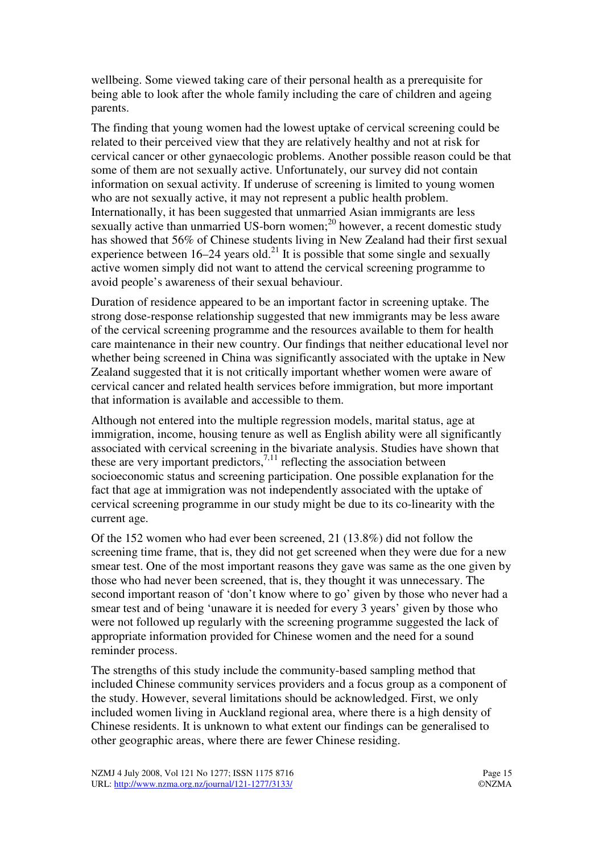wellbeing. Some viewed taking care of their personal health as a prerequisite for being able to look after the whole family including the care of children and ageing parents.

The finding that young women had the lowest uptake of cervical screening could be related to their perceived view that they are relatively healthy and not at risk for cervical cancer or other gynaecologic problems. Another possible reason could be that some of them are not sexually active. Unfortunately, our survey did not contain information on sexual activity. If underuse of screening is limited to young women who are not sexually active, it may not represent a public health problem. Internationally, it has been suggested that unmarried Asian immigrants are less sexually active than unmarried US-born women; $^{20}$  however, a recent domestic study has showed that 56% of Chinese students living in New Zealand had their first sexual experience between 16–24 years old.<sup>21</sup> It is possible that some single and sexually active women simply did not want to attend the cervical screening programme to avoid people's awareness of their sexual behaviour.

Duration of residence appeared to be an important factor in screening uptake. The strong dose-response relationship suggested that new immigrants may be less aware of the cervical screening programme and the resources available to them for health care maintenance in their new country. Our findings that neither educational level nor whether being screened in China was significantly associated with the uptake in New Zealand suggested that it is not critically important whether women were aware of cervical cancer and related health services before immigration, but more important that information is available and accessible to them.

Although not entered into the multiple regression models, marital status, age at immigration, income, housing tenure as well as English ability were all significantly associated with cervical screening in the bivariate analysis. Studies have shown that these are very important predictors,<sup>7,11</sup> reflecting the association between socioeconomic status and screening participation. One possible explanation for the fact that age at immigration was not independently associated with the uptake of cervical screening programme in our study might be due to its co-linearity with the current age.

Of the 152 women who had ever been screened, 21 (13.8%) did not follow the screening time frame, that is, they did not get screened when they were due for a new smear test. One of the most important reasons they gave was same as the one given by those who had never been screened, that is, they thought it was unnecessary. The second important reason of 'don't know where to go' given by those who never had a smear test and of being 'unaware it is needed for every 3 years' given by those who were not followed up regularly with the screening programme suggested the lack of appropriate information provided for Chinese women and the need for a sound reminder process.

The strengths of this study include the community-based sampling method that included Chinese community services providers and a focus group as a component of the study. However, several limitations should be acknowledged. First, we only included women living in Auckland regional area, where there is a high density of Chinese residents. It is unknown to what extent our findings can be generalised to other geographic areas, where there are fewer Chinese residing.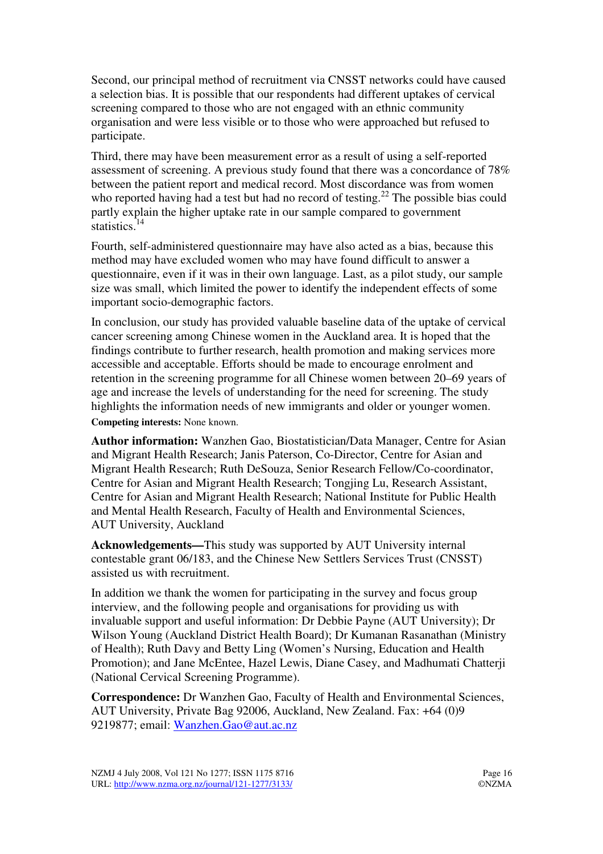Second, our principal method of recruitment via CNSST networks could have caused a selection bias. It is possible that our respondents had different uptakes of cervical screening compared to those who are not engaged with an ethnic community organisation and were less visible or to those who were approached but refused to participate.

Third, there may have been measurement error as a result of using a self-reported assessment of screening. A previous study found that there was a concordance of 78% between the patient report and medical record. Most discordance was from women who reported having had a test but had no record of testing.<sup>22</sup> The possible bias could partly explain the higher uptake rate in our sample compared to government statistics. $14$ 

Fourth, self-administered questionnaire may have also acted as a bias, because this method may have excluded women who may have found difficult to answer a questionnaire, even if it was in their own language. Last, as a pilot study, our sample size was small, which limited the power to identify the independent effects of some important socio-demographic factors.

In conclusion, our study has provided valuable baseline data of the uptake of cervical cancer screening among Chinese women in the Auckland area. It is hoped that the findings contribute to further research, health promotion and making services more accessible and acceptable. Efforts should be made to encourage enrolment and retention in the screening programme for all Chinese women between 20–69 years of age and increase the levels of understanding for the need for screening. The study highlights the information needs of new immigrants and older or younger women. **Competing interests:** None known.

**Author information:** Wanzhen Gao, Biostatistician/Data Manager, Centre for Asian and Migrant Health Research; Janis Paterson, Co-Director, Centre for Asian and Migrant Health Research; Ruth DeSouza, Senior Research Fellow/Co-coordinator, Centre for Asian and Migrant Health Research; Tongjing Lu, Research Assistant, Centre for Asian and Migrant Health Research; National Institute for Public Health and Mental Health Research, Faculty of Health and Environmental Sciences, AUT University, Auckland

**Acknowledgements—**This study was supported by AUT University internal contestable grant 06/183, and the Chinese New Settlers Services Trust (CNSST) assisted us with recruitment.

In addition we thank the women for participating in the survey and focus group interview, and the following people and organisations for providing us with invaluable support and useful information: Dr Debbie Payne (AUT University); Dr Wilson Young (Auckland District Health Board); Dr Kumanan Rasanathan (Ministry of Health); Ruth Davy and Betty Ling (Women's Nursing, Education and Health Promotion); and Jane McEntee, Hazel Lewis, Diane Casey, and Madhumati Chatterji (National Cervical Screening Programme).

**Correspondence:** Dr Wanzhen Gao, Faculty of Health and Environmental Sciences, AUT University, Private Bag 92006, Auckland, New Zealand. Fax: +64 (0)9 9219877; email: Wanzhen.Gao@aut.ac.nz